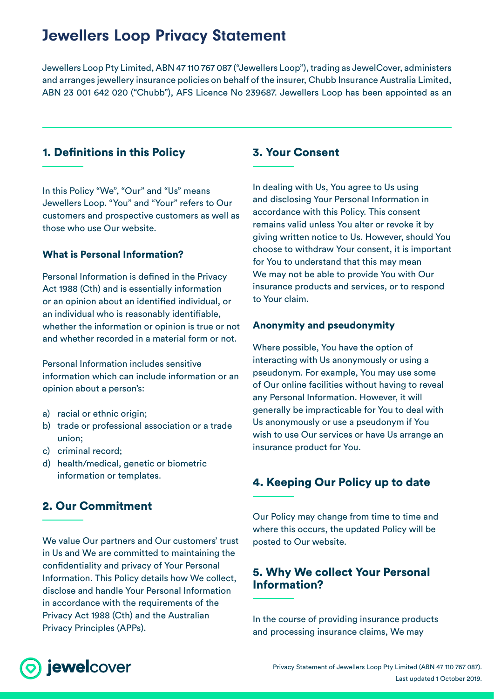## Jewellers Loop Privacy Statement

Jewellers Loop Pty Limited, ABN 47 110 767 087 ("Jewellers Loop"), trading as JewelCover, administers and arranges jewellery insurance policies on behalf of the insurer, Chubb Insurance Australia Limited, ABN 23 001 642 020 ("Chubb"), AFS Licence No 239687. Jewellers Loop has been appointed as an

## 1. Definitions in this Policy

In this Policy "We", "Our" and "Us" means Jewellers Loop. "You" and "Your" refers to Our customers and prospective customers as well as those who use Our website.

#### What is Personal Information?

Personal Information is defined in the Privacy Act 1988 (Cth) and is essentially information or an opinion about an identified individual, or an individual who is reasonably identifiable, whether the information or opinion is true or not and whether recorded in a material form or not.

Personal Information includes sensitive information which can include information or an opinion about a person's:

- a) racial or ethnic origin;
- b) trade or professional association or a trade union;
- c) criminal record;
- d) health/medical, genetic or biometric information or templates.

## 2. Our Commitment

We value Our partners and Our customers' trust in Us and We are committed to maintaining the confidentiality and privacy of Your Personal Information. This Policy details how We collect, disclose and handle Your Personal Information in accordance with the requirements of the Privacy Act 1988 (Cth) and the Australian Privacy Principles (APPs).

## 3. Your Consent

In dealing with Us, You agree to Us using and disclosing Your Personal Information in accordance with this Policy. This consent remains valid unless You alter or revoke it by giving written notice to Us. However, should You choose to withdraw Your consent, it is important for You to understand that this may mean We may not be able to provide You with Our insurance products and services, or to respond to Your claim.

## Anonymity and pseudonymity

Where possible, You have the option of interacting with Us anonymously or using a pseudonym. For example, You may use some of Our online facilities without having to reveal any Personal Information. However, it will generally be impracticable for You to deal with Us anonymously or use a pseudonym if You wish to use Our services or have Us arrange an insurance product for You.

## 4. Keeping Our Policy up to date

Our Policy may change from time to time and where this occurs, the updated Policy will be posted to Our website.

## 5. Why We collect Your Personal Information?

In the course of providing insurance products and processing insurance claims, We may

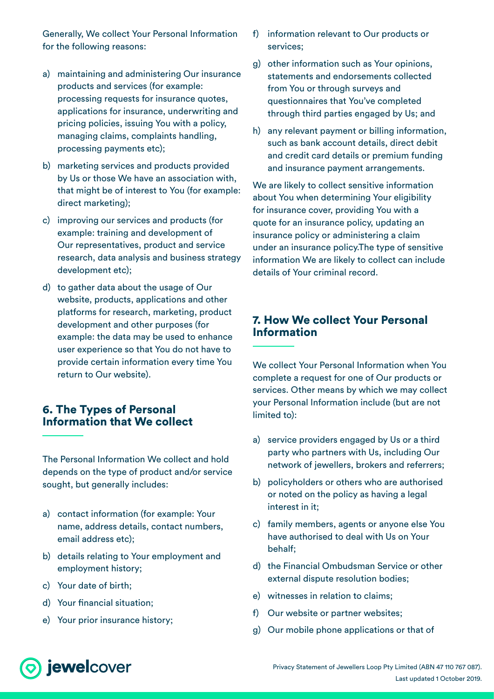Generally, We collect Your Personal Information for the following reasons:

- a) maintaining and administering Our insurance products and services (for example: processing requests for insurance quotes, applications for insurance, underwriting and pricing policies, issuing You with a policy, managing claims, complaints handling, processing payments etc);
- b) marketing services and products provided by Us or those We have an association with, that might be of interest to You (for example: direct marketing);
- c) improving our services and products (for example: training and development of Our representatives, product and service research, data analysis and business strategy development etc);
- d) to gather data about the usage of Our website, products, applications and other platforms for research, marketing, product development and other purposes (for example: the data may be used to enhance user experience so that You do not have to provide certain information every time You return to Our website).

## 6. The Types of Personal Information that We collect

The Personal Information We collect and hold depends on the type of product and/or service sought, but generally includes:

- a) contact information (for example: Your name, address details, contact numbers, email address etc);
- b) details relating to Your employment and employment history;
- c) Your date of birth;
- d) Your financial situation;
- e) Your prior insurance history;
- f) information relevant to Our products or services;
- g) other information such as Your opinions, statements and endorsements collected from You or through surveys and questionnaires that You've completed through third parties engaged by Us; and
- h) any relevant payment or billing information, such as bank account details, direct debit and credit card details or premium funding and insurance payment arrangements.

We are likely to collect sensitive information about You when determining Your eligibility for insurance cover, providing You with a quote for an insurance policy, updating an insurance policy or administering a claim under an insurance policy.The type of sensitive information We are likely to collect can include details of Your criminal record.

## 7. How We collect Your Personal **Information**

We collect Your Personal Information when You complete a request for one of Our products or services. Other means by which we may collect your Personal Information include (but are not limited to):

- a) service providers engaged by Us or a third party who partners with Us, including Our network of jewellers, brokers and referrers;
- b) policyholders or others who are authorised or noted on the policy as having a legal interest in it;
- c) family members, agents or anyone else You have authorised to deal with Us on Your behalf;
- d) the Financial Ombudsman Service or other external dispute resolution bodies;
- e) witnesses in relation to claims;
- f) Our website or partner websites;
- g) Our mobile phone applications or that of

# o jewelcover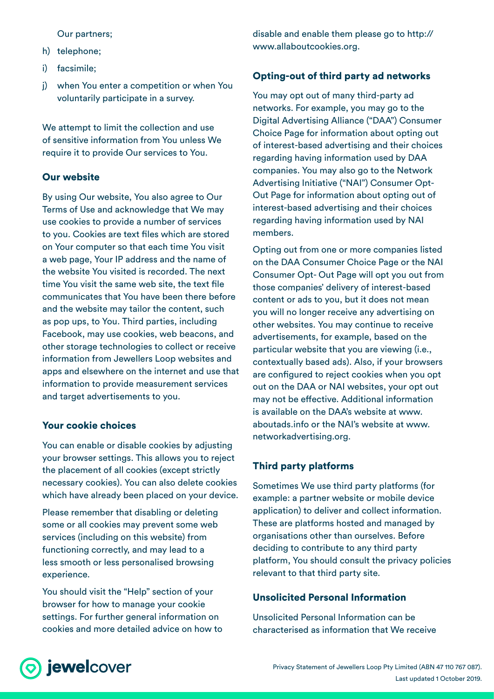Our partners;

- h) telephone;
- i) facsimile;
- j) when You enter a competition or when You voluntarily participate in a survey.

We attempt to limit the collection and use of sensitive information from You unless We require it to provide Our services to You.

#### Our website

By using Our website, You also agree to Our Terms of Use and acknowledge that We may use cookies to provide a number of services to you. Cookies are text files which are stored on Your computer so that each time You visit a web page, Your IP address and the name of the website You visited is recorded. The next time You visit the same web site, the text file communicates that You have been there before and the website may tailor the content, such as pop ups, to You. Third parties, including Facebook, may use cookies, web beacons, and other storage technologies to collect or receive information from Jewellers Loop websites and apps and elsewhere on the internet and use that information to provide measurement services and target advertisements to you.

#### Your cookie choices

You can enable or disable cookies by adjusting your browser settings. This allows you to reject the placement of all cookies (except strictly necessary cookies). You can also delete cookies which have already been placed on your device.

Please remember that disabling or deleting some or all cookies may prevent some web services (including on this website) from functioning correctly, and may lead to a less smooth or less personalised browsing experience.

You should visit the "Help" section of your browser for how to manage your cookie settings. For further general information on cookies and more detailed advice on how to disable and enable them please go to http:// www.allaboutcookies.org.

### Opting-out of third party ad networks

You may opt out of many third-party ad networks. For example, you may go to the Digital Advertising Alliance ("DAA") Consumer Choice Page for information about opting out of interest-based advertising and their choices regarding having information used by DAA companies. You may also go to the Network Advertising Initiative ("NAI") Consumer Opt-Out Page for information about opting out of interest-based advertising and their choices regarding having information used by NAI members.

Opting out from one or more companies listed on the DAA Consumer Choice Page or the NAI Consumer Opt- Out Page will opt you out from those companies' delivery of interest-based content or ads to you, but it does not mean you will no longer receive any advertising on other websites. You may continue to receive advertisements, for example, based on the particular website that you are viewing (i.e., contextually based ads). Also, if your browsers are configured to reject cookies when you opt out on the DAA or NAI websites, your opt out may not be effective. Additional information is available on the DAA's website at www. aboutads.info or the NAI's website at www. networkadvertising.org.

## Third party platforms

Sometimes We use third party platforms (for example: a partner website or mobile device application) to deliver and collect information. These are platforms hosted and managed by organisations other than ourselves. Before deciding to contribute to any third party platform, You should consult the privacy policies relevant to that third party site.

### Unsolicited Personal Information

Unsolicited Personal Information can be characterised as information that We receive

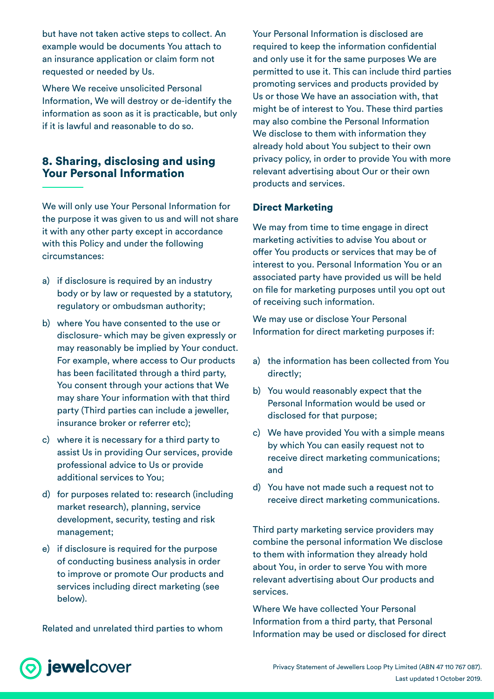but have not taken active steps to collect. An example would be documents You attach to an insurance application or claim form not requested or needed by Us.

Where We receive unsolicited Personal Information, We will destroy or de-identify the information as soon as it is practicable, but only if it is lawful and reasonable to do so.

## 8. Sharing, disclosing and using Your Personal Information

We will only use Your Personal Information for the purpose it was given to us and will not share it with any other party except in accordance with this Policy and under the following circumstances:

- a) if disclosure is required by an industry body or by law or requested by a statutory, regulatory or ombudsman authority;
- b) where You have consented to the use or disclosure- which may be given expressly or may reasonably be implied by Your conduct. For example, where access to Our products has been facilitated through a third party, You consent through your actions that We may share Your information with that third party (Third parties can include a jeweller, insurance broker or referrer etc);
- c) where it is necessary for a third party to assist Us in providing Our services, provide professional advice to Us or provide additional services to You;
- d) for purposes related to: research (including market research), planning, service development, security, testing and risk management;
- e) if disclosure is required for the purpose of conducting business analysis in order to improve or promote Our products and services including direct marketing (see below).

Related and unrelated third parties to whom

Your Personal Information is disclosed are required to keep the information confidential and only use it for the same purposes We are permitted to use it. This can include third parties promoting services and products provided by Us or those We have an association with, that might be of interest to You. These third parties may also combine the Personal Information We disclose to them with information they already hold about You subject to their own privacy policy, in order to provide You with more relevant advertising about Our or their own products and services.

#### Direct Marketing

We may from time to time engage in direct marketing activities to advise You about or offer You products or services that may be of interest to you. Personal Information You or an associated party have provided us will be held on file for marketing purposes until you opt out of receiving such information.

We may use or disclose Your Personal Information for direct marketing purposes if:

- a) the information has been collected from You directly;
- b) You would reasonably expect that the Personal Information would be used or disclosed for that purpose;
- c) We have provided You with a simple means by which You can easily request not to receive direct marketing communications; and
- d) You have not made such a request not to receive direct marketing communications.

Third party marketing service providers may combine the personal information We disclose to them with information they already hold about You, in order to serve You with more relevant advertising about Our products and services.

Where We have collected Your Personal Information from a third party, that Personal Information may be used or disclosed for direct

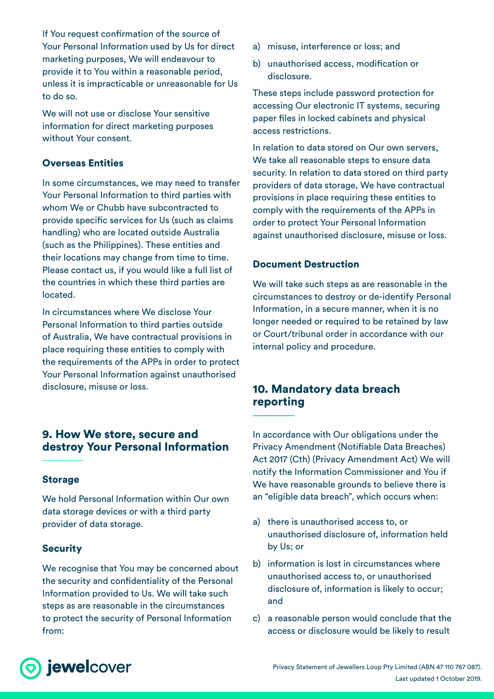If You request confirmation of the source of Your Personal Information used by Us for direct marketing purposes, We will endeavour to provide it to You within a reasonable period, unless it is impracticable or unreasonable for Us to do so.

We will not use or disclose Your sensitive information for direct marketing purposes without Your consent.

## Overseas Entities

In some circumstances, we may need to transfer Your Personal Information to third parties with whom We or Chubb have subcontracted to provide specific services for Us (such as claims handling) who are located outside Australia (such as the Philippines). These entities and their locations may change from time to time. Please contact us, if you would like a full list of the countries in which these third parties are located.

In circumstances where We disclose Your Personal Information to third parties outside of Australia, We have contractual provisions in place requiring these entities to comply with the requirements of the APPs in order to protect Your Personal Information against unauthorised disclosure, misuse or loss.

## 9. How We store, secure and destroy Your Personal Information

#### Storage

We hold Personal Information within Our own data storage devices or with a third party provider of data storage.

#### **Security**

We recognise that You may be concerned about the security and confidentiality of the Personal Information provided to Us. We will take such steps as are reasonable in the circumstances to protect the security of Personal Information from:

- a) misuse, interference or loss; and
- b) unauthorised access, modification or disclosure.

These steps include password protection for accessing Our electronic IT systems, securing paper files in locked cabinets and physical access restrictions.

In relation to data stored on Our own servers, We take all reasonable steps to ensure data security. In relation to data stored on third party providers of data storage, We have contractual provisions in place requiring these entities to comply with the requirements of the APPs in order to protect Your Personal Information against unauthorised disclosure, misuse or loss.

#### Document Destruction

We will take such steps as are reasonable in the circumstances to destroy or de-identify Personal Information, in a secure manner, when it is no longer needed or required to be retained by law or Court/tribunal order in accordance with our internal policy and procedure.

## 10. Mandatory data breach reporting

In accordance with Our obligations under the Privacy Amendment (Notifiable Data Breaches) Act 2017 (Cth) (Privacy Amendment Act) We will notify the Information Commissioner and You if We have reasonable grounds to believe there is an "eligible data breach", which occurs when:

- a) there is unauthorised access to, or unauthorised disclosure of, information held by Us; or
- b) information is lost in circumstances where unauthorised access to, or unauthorised disclosure of, information is likely to occur; and
- c) a reasonable person would conclude that the access or disclosure would be likely to result

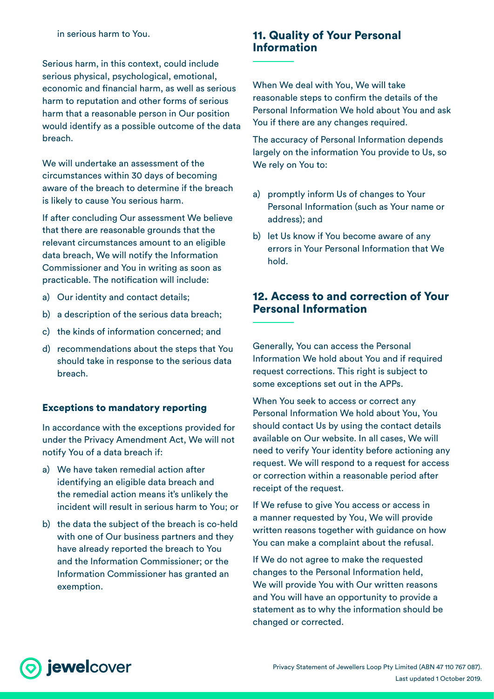Serious harm, in this context, could include serious physical, psychological, emotional, economic and financial harm, as well as serious harm to reputation and other forms of serious harm that a reasonable person in Our position would identify as a possible outcome of the data breach.

We will undertake an assessment of the circumstances within 30 days of becoming aware of the breach to determine if the breach is likely to cause You serious harm.

If after concluding Our assessment We believe that there are reasonable grounds that the relevant circumstances amount to an eligible data breach, We will notify the Information Commissioner and You in writing as soon as practicable. The notification will include:

- a) Our identity and contact details;
- b) a description of the serious data breach;
- c) the kinds of information concerned; and
- d) recommendations about the steps that You should take in response to the serious data breach.

#### Exceptions to mandatory reporting

In accordance with the exceptions provided for under the Privacy Amendment Act, We will not notify You of a data breach if:

- a) We have taken remedial action after identifying an eligible data breach and the remedial action means it's unlikely the incident will result in serious harm to You; or
- b) the data the subject of the breach is co-held with one of Our business partners and they have already reported the breach to You and the Information Commissioner; or the Information Commissioner has granted an exemption.

## 11. Quality of Your Personal Information

When We deal with You, We will take reasonable steps to confirm the details of the Personal Information We hold about You and ask You if there are any changes required.

The accuracy of Personal Information depends largely on the information You provide to Us, so We rely on You to:

- a) promptly inform Us of changes to Your Personal Information (such as Your name or address); and
- b) let Us know if You become aware of any errors in Your Personal Information that We hold.

## 12. Access to and correction of Your Personal Information

Generally, You can access the Personal Information We hold about You and if required request corrections. This right is subject to some exceptions set out in the APPs.

When You seek to access or correct any Personal Information We hold about You, You should contact Us by using the contact details available on Our website. In all cases, We will need to verify Your identity before actioning any request. We will respond to a request for access or correction within a reasonable period after receipt of the request.

If We refuse to give You access or access in a manner requested by You, We will provide written reasons together with guidance on how You can make a complaint about the refusal.

If We do not agree to make the requested changes to the Personal Information held, We will provide You with Our written reasons and You will have an opportunity to provide a statement as to why the information should be changed or corrected.